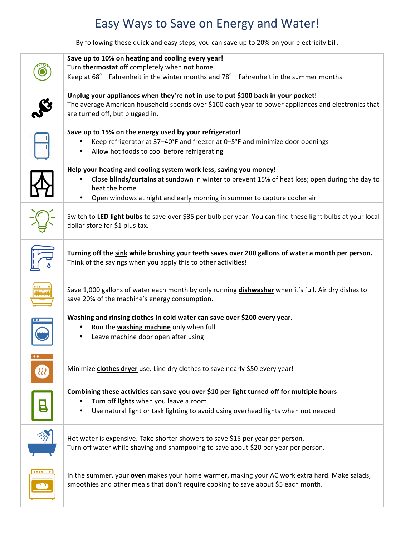## Easy Ways to Save on Energy and Water!

By following these quick and easy steps, you can save up to 20% on your electricity bill.

|    | Save up to 10% on heating and cooling every year!<br>Turn thermostat off completely when not home<br>Keep at $68^\circ$ Fahrenheit in the winter months and 78 $^\circ$<br>Fahrenheit in the summer months                                                           |
|----|----------------------------------------------------------------------------------------------------------------------------------------------------------------------------------------------------------------------------------------------------------------------|
|    | Unplug your appliances when they're not in use to put \$100 back in your pocket!<br>The average American household spends over \$100 each year to power appliances and electronics that<br>are turned off, but plugged in.                                           |
|    | Save up to 15% on the energy used by your refrigerator!<br>Keep refrigerator at 37-40°F and freezer at 0-5°F and minimize door openings<br>Allow hot foods to cool before refrigerating                                                                              |
|    | Help your heating and cooling system work less, saving you money!<br>Close blinds/curtains at sundown in winter to prevent 15% of heat loss; open during the day to<br>heat the home<br>Open windows at night and early morning in summer to capture cooler air<br>٠ |
|    | Switch to LED light bulbs to save over \$35 per bulb per year. You can find these light bulbs at your local<br>dollar store for \$1 plus tax.                                                                                                                        |
|    | Turning off the sink while brushing your teeth saves over 200 gallons of water a month per person.<br>Think of the savings when you apply this to other activities!                                                                                                  |
|    | Save 1,000 gallons of water each month by only running dishwasher when it's full. Air dry dishes to<br>save 20% of the machine's energy consumption.                                                                                                                 |
|    | Washing and rinsing clothes in cold water can save over \$200 every year.<br>Run the washing machine only when full<br>Leave machine door open after using                                                                                                           |
| 88 | Minimize clothes dryer use. Line dry clothes to save nearly \$50 every year!                                                                                                                                                                                         |
|    | Combining these activities can save you over \$10 per light turned off for multiple hours<br>Turn off lights when you leave a room<br>Use natural light or task lighting to avoid using overhead lights when not needed                                              |
|    | Hot water is expensive. Take shorter showers to save \$15 per year per person.<br>Turn off water while shaving and shampooing to save about \$20 per year per person.                                                                                                |
|    | In the summer, your oven makes your home warmer, making your AC work extra hard. Make salads,<br>smoothies and other meals that don't require cooking to save about \$5 each month.                                                                                  |